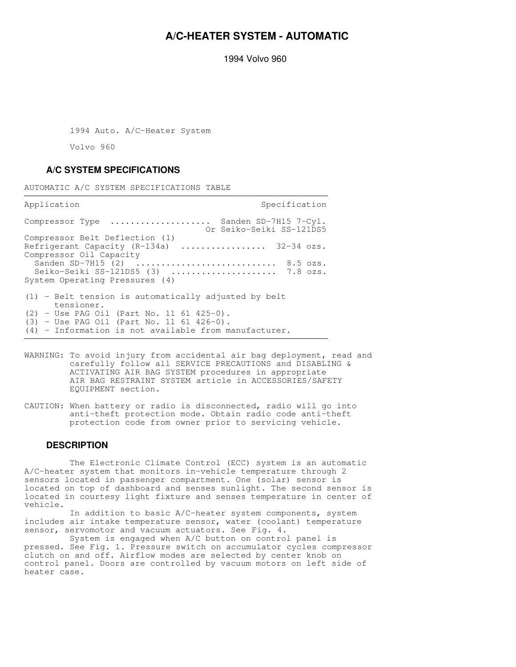## **A/C-HEATER SYSTEM - AUTOMATIC**

1994 Volvo 960

1994 Auto. A/C-Heater System

Volvo 960

## **A/C SYSTEM SPECIFICATIONS**

AUTOMATIC A/C SYSTEM SPECIFICATIONS TABLE

Application Specification Specification Specification Compressor Type .................... Sanden SD-7H15 7-Cyl. Or Seiko-Seiki SS-121DS5 Compressor Belt Deflection (1) Refrigerant Capacity (R-134a) .................. 32-34 ozs. Compressor Oil Capacity<br>Sanden SD-7H15 (2).  $\dots\dots\dots\dots\dots\dots\dots\dots\dots$ . 8.5 ozs. Seiko-Seiki SS-121DS5 (3) .......................... 7.8 ozs. System Operating Pressures (4) (1) - Belt tension is automatically adjusted by belt tensioner. (2) - Use PAG Oil (Part No. 11 61 425-0). (3) - Use PAG Oil (Part No. 11 61 426-0). (4) - Information is not available from manufacturer. 

- WARNING: To avoid injury from accidental air bag deployment, read and carefully follow all SERVICE PRECAUTIONS and DISABLING & ACTIVATING AIR BAG SYSTEM procedures in appropriate AIR BAG RESTRAINT SYSTEM article in ACCESSORIES/SAFETY EQUIPMENT section.
- CAUTION: When battery or radio is disconnected, radio will go into anti-theft protection mode. Obtain radio code anti-theft protection code from owner prior to servicing vehicle.

### **DESCRIPTION**

 The Electronic Climate Control (ECC) system is an automatic A/C-heater system that monitors in-vehicle temperature through 2 sensors located in passenger compartment. One (solar) sensor is located on top of dashboard and senses sunlight. The second sensor is located in courtesy light fixture and senses temperature in center of vehicle.

 In addition to basic A/C-heater system components, system includes air intake temperature sensor, water (coolant) temperature sensor, servomotor and vacuum actuators. See Fig. 4.

 System is engaged when A/C button on control panel is pressed. See Fig. 1. Pressure switch on accumulator cycles compressor clutch on and off. Airflow modes are selected by center knob on control panel. Doors are controlled by vacuum motors on left side of heater case.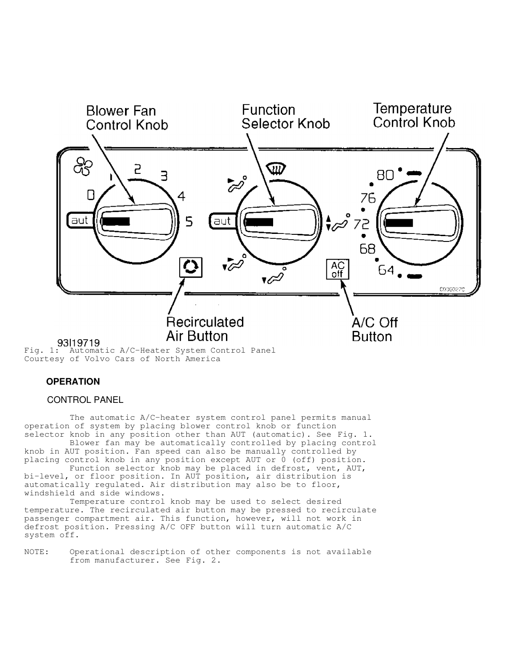

Fig. 1: Automatic A/C-Heater System Control Panel Courtesy of Volvo Cars of North America

## **OPERATION**

### CONTROL PANEL

 The automatic A/C-heater system control panel permits manual operation of system by placing blower control knob or function selector knob in any position other than AUT (automatic). See Fig. 1.

 Blower fan may be automatically controlled by placing control knob in AUT position. Fan speed can also be manually controlled by placing control knob in any position except AUT or 0 (off) position.

 Function selector knob may be placed in defrost, vent, AUT, bi-level, or floor position. In AUT position, air distribution is automatically regulated. Air distribution may also be to floor, windshield and side windows.

 Temperature control knob may be used to select desired temperature. The recirculated air button may be pressed to recirculate passenger compartment air. This function, however, will not work in defrost position. Pressing A/C OFF button will turn automatic A/C system off.

NOTE: Operational description of other components is not available from manufacturer. See Fig. 2.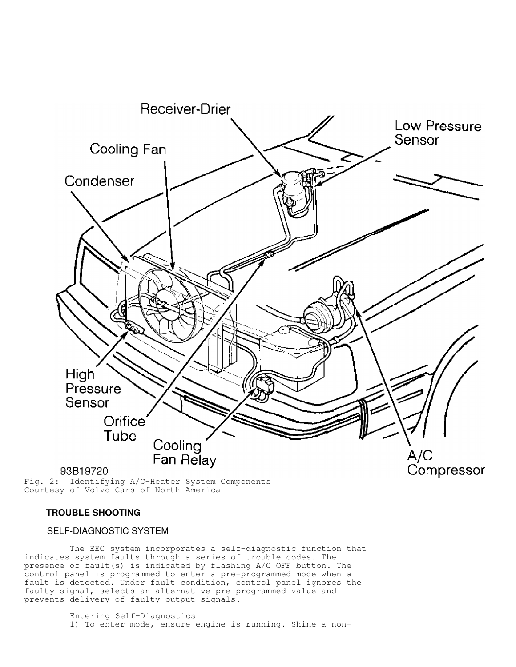

Fig. 2: Identifying A/C-Heater System Components Courtesy of Volvo Cars of North America

### **TROUBLE SHOOTING**

### SELF-DIAGNOSTIC SYSTEM

 The EEC system incorporates a self-diagnostic function that indicates system faults through a series of trouble codes. The presence of fault(s) is indicated by flashing A/C OFF button. The control panel is programmed to enter a pre-programmed mode when a fault is detected. Under fault condition, control panel ignores the faulty signal, selects an alternative pre-programmed value and prevents delivery of faulty output signals.

> Entering Self-Diagnostics 1) To enter mode, ensure engine is running. Shine a non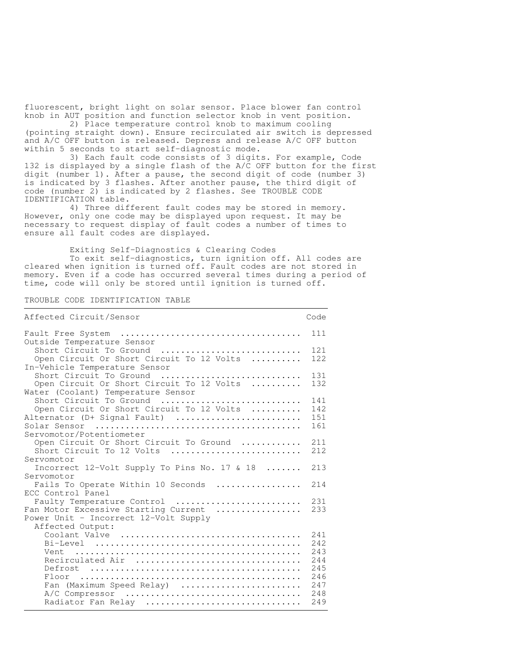fluorescent, bright light on solar sensor. Place blower fan control knob in AUT position and function selector knob in vent position.

 2) Place temperature control knob to maximum cooling (pointing straight down). Ensure recirculated air switch is depressed and A/C OFF button is released. Depress and release A/C OFF button within 5 seconds to start self-diagnostic mode.

 3) Each fault code consists of 3 digits. For example, Code 132 is displayed by a single flash of the A/C OFF button for the first digit (number 1). After a pause, the second digit of code (number 3) is indicated by 3 flashes. After another pause, the third digit of code (number 2) is indicated by 2 flashes. See TROUBLE CODE IDENTIFICATION table.

 4) Three different fault codes may be stored in memory. However, only one code may be displayed upon request. It may be necessary to request display of fault codes a number of times to ensure all fault codes are displayed.

Exiting Self-Diagnostics & Clearing Codes

 To exit self-diagnostics, turn ignition off. All codes are cleared when ignition is turned off. Fault codes are not stored in memory. Even if a code has occurred several times during a period of time, code will only be stored until ignition is turned off.

#### TROUBLE CODE IDENTIFICATION TABLE

| Affected Circuit/Sensor                                                                                                             | Code                                                         |  |  |
|-------------------------------------------------------------------------------------------------------------------------------------|--------------------------------------------------------------|--|--|
|                                                                                                                                     | 111                                                          |  |  |
| Outside Temperature Sensor<br>Short Circuit To Ground<br>Open Circuit Or Short Circuit To 12 Volts<br>In-Vehicle Temperature Sensor | 121<br>122                                                   |  |  |
| Short Circuit To Ground<br>Open Circuit Or Short Circuit To 12 Volts<br>Water (Coolant) Temperature Sensor                          | 131<br>132                                                   |  |  |
| Short Circuit To Ground<br>Open Circuit Or Short Circuit To 12 Volts<br>Alternator (D+ Signal Fault)<br>Servomotor/Potentiometer    | 141<br>142<br>151<br>161                                     |  |  |
| Open Circuit Or Short Circuit To Ground<br>Short Circuit To 12 Volts<br>Servomotor                                                  | 211<br>212                                                   |  |  |
| Incorrect 12-Volt Supply To Pins No. 17 & 18                                                                                        | 213                                                          |  |  |
| Servomotor<br>Fails To Operate Within 10 Seconds<br>ECC Control Panel                                                               | 214                                                          |  |  |
| Faulty Temperature Control<br>Fan Motor Excessive Starting Current<br>Power Unit - Incorrect 12-Volt Supply<br>Affected Output:     |                                                              |  |  |
| Recirculated Air<br>Floor<br>Fan (Maximum Speed Relay)<br>Radiator Fan Relay                                                        | 241<br>2.42<br>243<br>244<br>245<br>246<br>247<br>248<br>249 |  |  |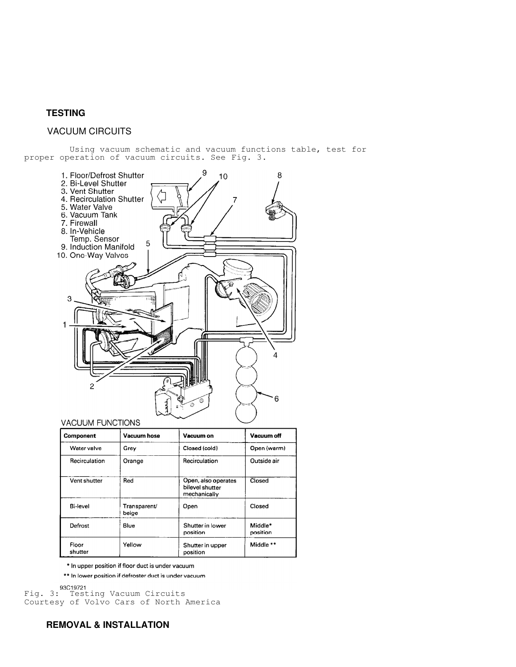## **TESTING**

## VACUUM CIRCUITS

 Using vacuum schematic and vacuum functions table, test for proper operation of vacuum circuits. See Fig. 3.



| <b>Component</b> | <b>Vacuum hose</b>    | Vacuum on                                              | Vacuum off           |
|------------------|-----------------------|--------------------------------------------------------|----------------------|
| Water valve      | Grey                  | Closed (cold)                                          | Open (warm)          |
| Recirculation    | Orange                | Recirculation                                          | Outside air          |
| Vent shutter     | Red                   | Open, also operates<br>bilevel shutter<br>mechanically | Closed               |
| Bi-level         | Transparent/<br>beige | Open                                                   | Closed               |
| Defrost          | Blue                  | Shutter in lower<br>position                           | Middle*<br>position  |
| Floor<br>shutter | Yellow                | Shutter in upper<br>position                           | Middle <sup>**</sup> |

\* In upper position if floor duct is under vacuum

\*\* In lower position if defroster duct is under vacuum

93C19721<br>Fig. 3: Testing Vacuum Circuits Courtesy of Volvo Cars of North America

# **REMOVAL & INSTALLATION**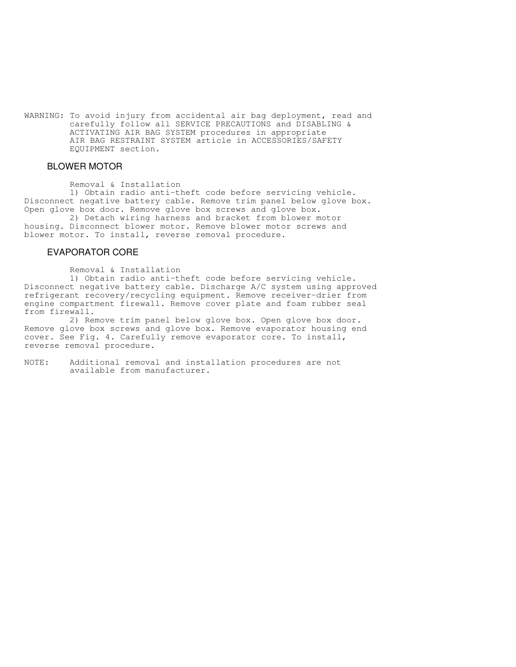WARNING: To avoid injury from accidental air bag deployment, read and carefully follow all SERVICE PRECAUTIONS and DISABLING & ACTIVATING AIR BAG SYSTEM procedures in appropriate AIR BAG RESTRAINT SYSTEM article in ACCESSORIES/SAFETY EQUIPMENT section.

## BLOWER MOTOR

Removal & Installation

 1) Obtain radio anti-theft code before servicing vehicle. Disconnect negative battery cable. Remove trim panel below glove box. Open glove box door. Remove glove box screws and glove box.

 2) Detach wiring harness and bracket from blower motor housing. Disconnect blower motor. Remove blower motor screws and blower motor. To install, reverse removal procedure.

### EVAPORATOR CORE

Removal & Installation

 1) Obtain radio anti-theft code before servicing vehicle. Disconnect negative battery cable. Discharge A/C system using approved refrigerant recovery/recycling equipment. Remove receiver-drier from engine compartment firewall. Remove cover plate and foam rubber seal from firewall.

 2) Remove trim panel below glove box. Open glove box door. Remove glove box screws and glove box. Remove evaporator housing end cover. See Fig. 4. Carefully remove evaporator core. To install, reverse removal procedure.

NOTE: Additional removal and installation procedures are not available from manufacturer.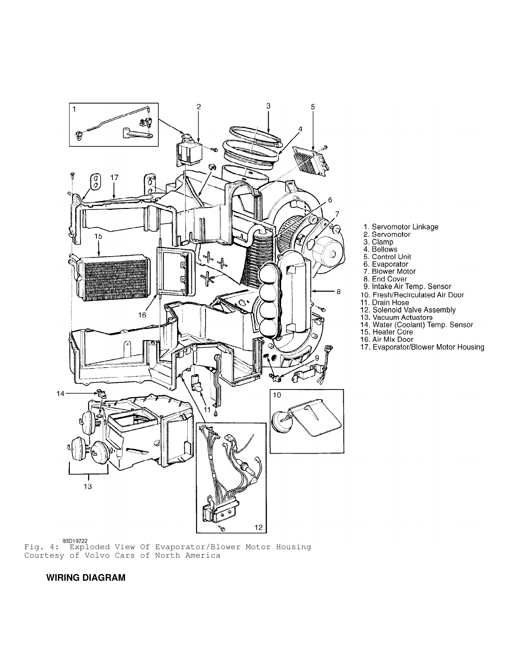

1. Servomotor Linkage<br>2. Servomotor<br>3. Clamp<br>4. Bellows<br>5. Control Unit<br>6. Evaporator

- 
- 
- 
- 
- 
- 7. Blower Motor
- 8. End Cover
- 
- 9. Intake Air Temp. Sensor<br>10. Fresh/Recirculated Air Door
- 
- 
- 
- 10. Fresh/Recirculated Air Door<br>11. Drain Hose<br>12. Solenoid Valve Assembly<br>13. Vacuum Actuators<br>14. Water (Coolant) Temp. Sensor<br>15. Heater Core<br>16. Air Mix Door
	-
- 
- 17. Evaporator/Blower Motor Housing

### **WIRING DIAGRAM**

Courtesy of Volvo Cars of North America